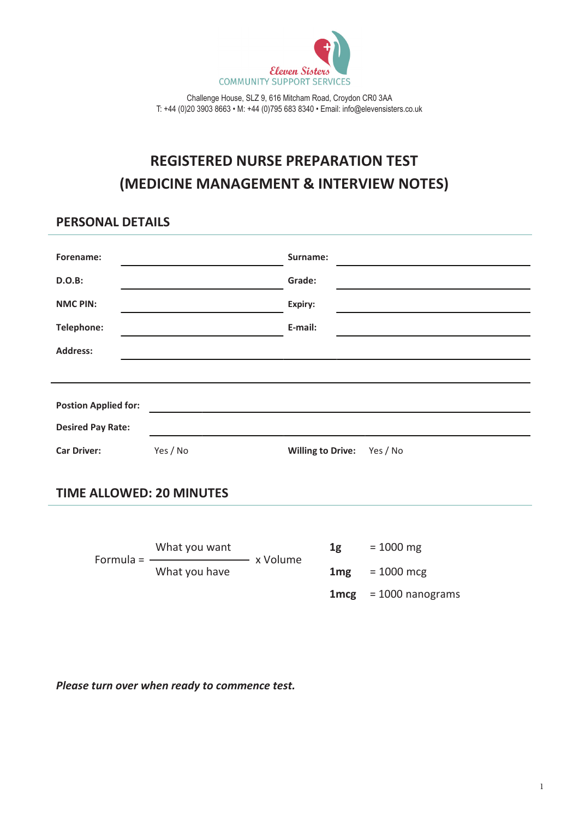

Challenge House, SLZ 9, 616 Mitcham Road, Croydon CR0 3AA T: +44 (0)20 3903 8663 • M: +44 (0)795 683 8340 • Email: info@elevensisters.co.uk

# **REGISTERED NURSE PREPARATION TEST (MEDICINE MANAGEMENT & INTERVIEW NOTES)**

## **PERSONAL DETAILS**

| Forename:                   |          | Surname:                             |
|-----------------------------|----------|--------------------------------------|
|                             |          |                                      |
| <b>D.O.B:</b>               |          | Grade:                               |
| <b>NMC PIN:</b>             |          | Expiry:                              |
| <b>Telephone:</b>           |          | E-mail:                              |
| <b>Address:</b>             |          |                                      |
|                             |          |                                      |
|                             |          |                                      |
| <b>Postion Applied for:</b> |          |                                      |
| <b>Desired Pay Rate:</b>    |          |                                      |
| <b>Car Driver:</b>          | Yes / No | <b>Willing to Drive:</b><br>Yes / No |

## **TIME ALLOWED: 20 MINUTES**

What you want  $1g = 1000$  mg Formula =  $\cdot$ What you have **1mg** = 1000 mcg **1mcg** = 1000 nanograms

*Please turn over when ready to commence test.*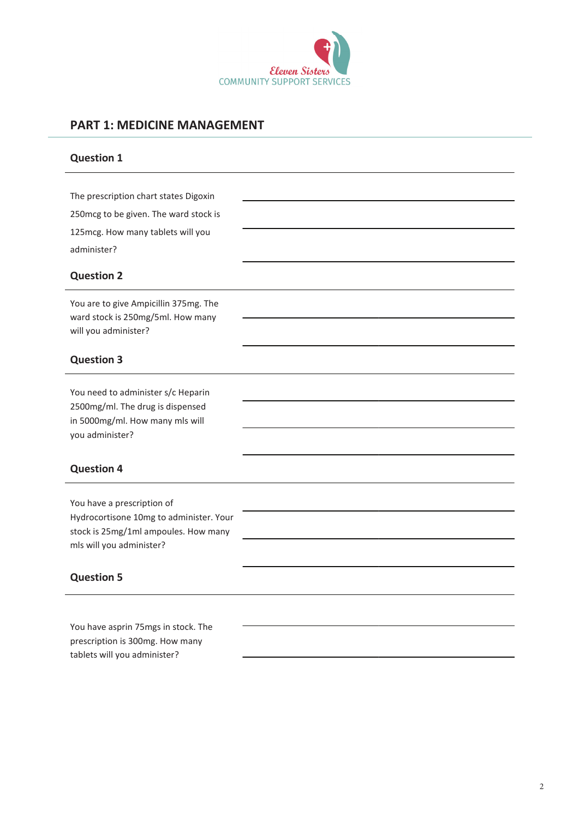

# **PART 1: MEDICINE MANAGEMENT**

| <b>Question 1</b>                                                                                                                         |  |
|-------------------------------------------------------------------------------------------------------------------------------------------|--|
| The prescription chart states Digoxin<br>250mcg to be given. The ward stock is<br>125mcg. How many tablets will you<br>administer?        |  |
| <b>Question 2</b>                                                                                                                         |  |
| You are to give Ampicillin 375mg. The<br>ward stock is 250mg/5ml. How many<br>will you administer?                                        |  |
| <b>Question 3</b>                                                                                                                         |  |
| You need to administer s/c Heparin<br>2500mg/ml. The drug is dispensed<br>in 5000mg/ml. How many mls will<br>you administer?              |  |
| <b>Question 4</b>                                                                                                                         |  |
| You have a prescription of<br>Hydrocortisone 10mg to administer. Your<br>stock is 25mg/1ml ampoules. How many<br>mls will you administer? |  |
| <b>Question 5</b>                                                                                                                         |  |
| You have asprin 75mgs in stock. The<br>prescription is 300mg. How many<br>tablets will you administer?                                    |  |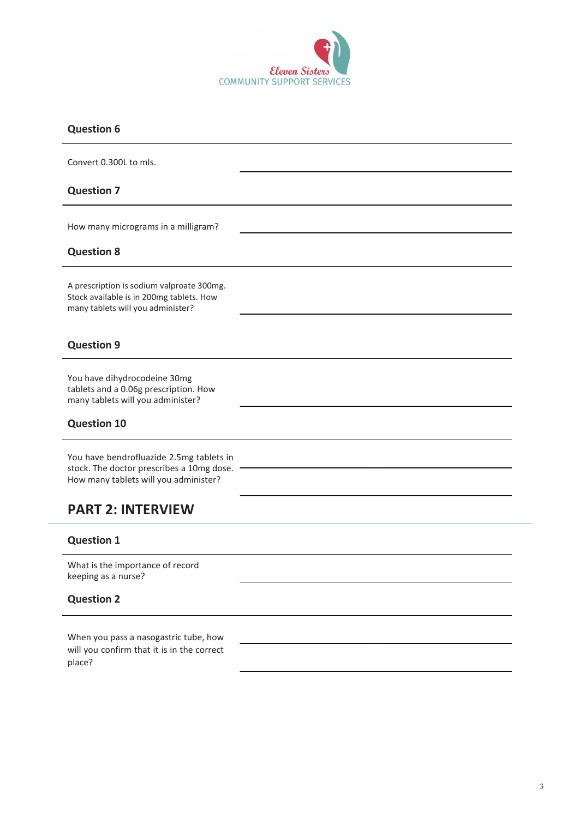

#### **Question 6**

Convert 0.300L to mls.

#### **Question 7**

How many micrograms in a milligram?

#### **Question 8**

A prescription is sodium valproate 300mg. Stock available is in 200mg tablets. How many tablets will you administer?

#### **Question 9**

You have dihydrocodeine 30mg tablets and a 0.06g prescription. How many tablets will you administer?

#### **Question 10**

You have bendrofluazide 2.5mg tablets in stock. The doctor prescribes a 10mg dose. How many tablets will you administer?

# **PART 2: INTERVIEW**

#### **Question 1**

What is the importance of record keeping as a nurse?

#### **Question 2**

When you pass a nasogastric tube, how will you confirm that it is in the correct place?